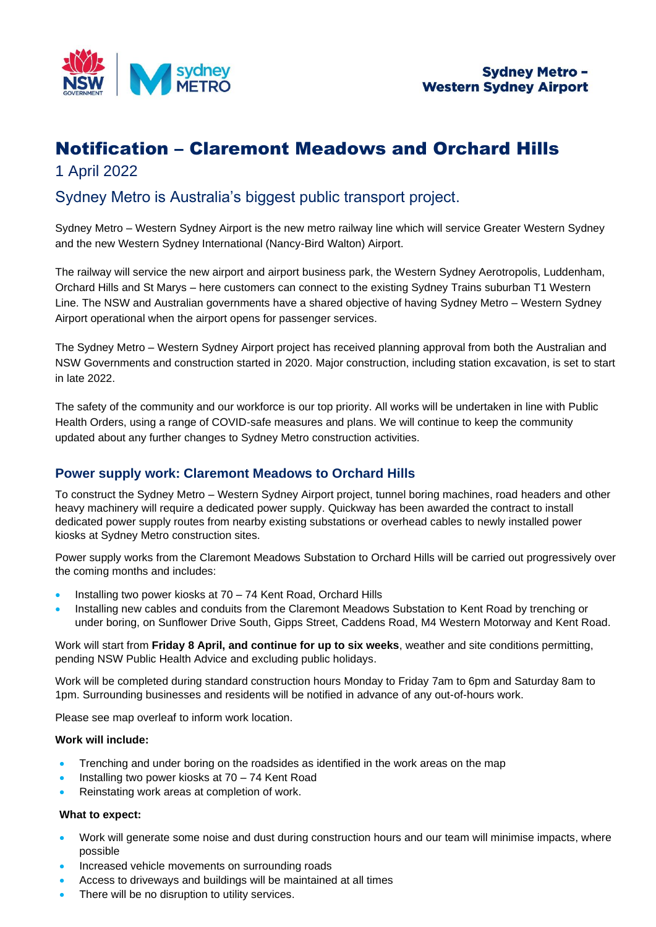

# Notification – Claremont Meadows and Orchard Hills

## 1 April 2022

# Sydney Metro is Australia's biggest public transport project.

Sydney Metro – Western Sydney Airport is the new metro railway line which will service Greater Western Sydney and the new Western Sydney International (Nancy-Bird Walton) Airport.

The railway will service the new airport and airport business park, the Western Sydney Aerotropolis, Luddenham, Orchard Hills and St Marys – here customers can connect to the existing Sydney Trains suburban T1 Western Line. The NSW and Australian governments have a shared objective of having Sydney Metro – Western Sydney Airport operational when the airport opens for passenger services.

The Sydney Metro – Western Sydney Airport project has received planning approval from both the Australian and NSW Governments and construction started in 2020. Major construction, including station excavation, is set to start in late 2022.

The safety of the community and our workforce is our top priority. All works will be undertaken in line with Public Health Orders, using a range of COVID-safe measures and plans. We will continue to keep the community updated about any further changes to Sydney Metro construction activities.

## **Power supply work: Claremont Meadows to Orchard Hills**

To construct the Sydney Metro – Western Sydney Airport project, tunnel boring machines, road headers and other heavy machinery will require a dedicated power supply. Quickway has been awarded the contract to install dedicated power supply routes from nearby existing substations or overhead cables to newly installed power kiosks at Sydney Metro construction sites.

Power supply works from the Claremont Meadows Substation to Orchard Hills will be carried out progressively over the coming months and includes:

- Installing two power kiosks at 70 74 Kent Road, Orchard Hills
- Installing new cables and conduits from the Claremont Meadows Substation to Kent Road by trenching or under boring, on Sunflower Drive South, Gipps Street, Caddens Road, M4 Western Motorway and Kent Road.

Work will start from **Friday 8 April, and continue for up to six weeks**, weather and site conditions permitting, pending NSW Public Health Advice and excluding public holidays.

Work will be completed during standard construction hours Monday to Friday 7am to 6pm and Saturday 8am to 1pm. Surrounding businesses and residents will be notified in advance of any out-of-hours work.

Please see map overleaf to inform work location.

#### **Work will include:**

- Trenching and under boring on the roadsides as identified in the work areas on the map
- Installing two power kiosks at 70 74 Kent Road
- Reinstating work areas at completion of work.

#### **What to expect:**

- Work will generate some noise and dust during construction hours and our team will minimise impacts, where possible
- Increased vehicle movements on surrounding roads
- Access to driveways and buildings will be maintained at all times
- There will be no disruption to utility services.